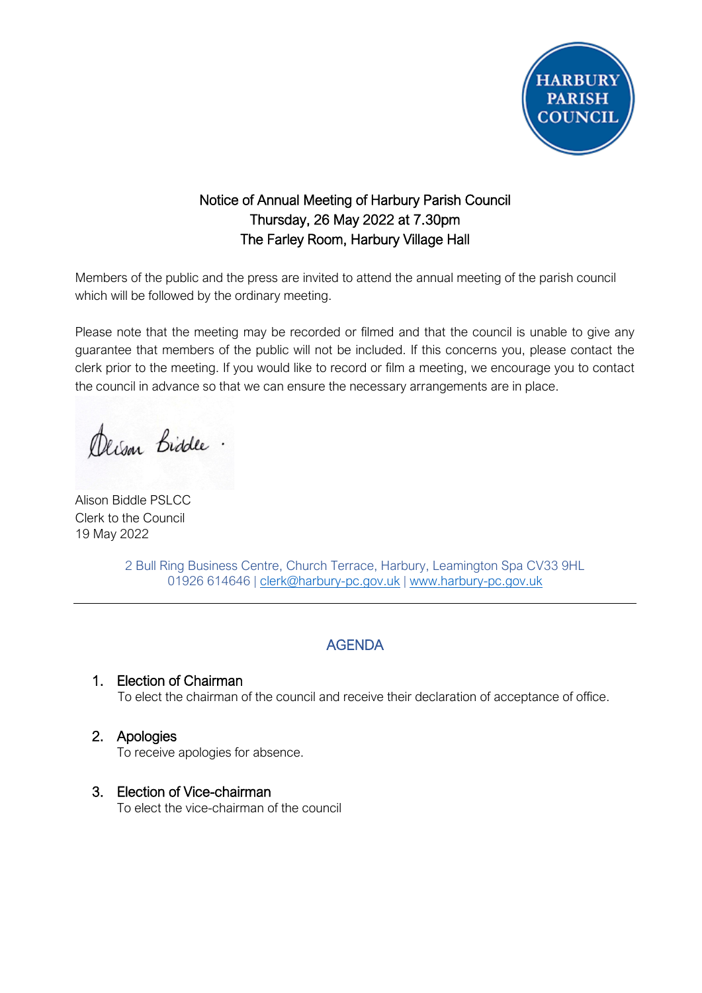

# Notice of Annual Meeting of Harbury Parish Council Thursday, 26 May 2022 at 7.30pm The Farley Room, Harbury Village Hall

Members of the public and the press are invited to attend the annual meeting of the parish council which will be followed by the ordinary meeting.

Please note that the meeting may be recorded or filmed and that the council is unable to give any guarantee that members of the public will not be included. If this concerns you, please contact the clerk prior to the meeting. If you would like to record or film a meeting, we encourage you to contact the council in advance so that we can ensure the necessary arrangements are in place.

Derson Biddle.

Alison Biddle PSLCC Clerk to the Council 19 May 2022

2 Bull Ring Business Centre, Church Terrace, Harbury, Leamington Spa CV33 9HL 01926 614646 | [clerk@harbury-pc.gov.uk](mailto:clerk@harbury-pc.gov.uk) | [www.harbury-pc.gov.uk](http://www.harbury-pc.gov.uk/)

## AGENDA

#### 1. Election of Chairman

To elect the chairman of the council and receive their declaration of acceptance of office.

2. Apologies

To receive apologies for absence.

#### 3. Election of Vice-chairman

To elect the vice-chairman of the council